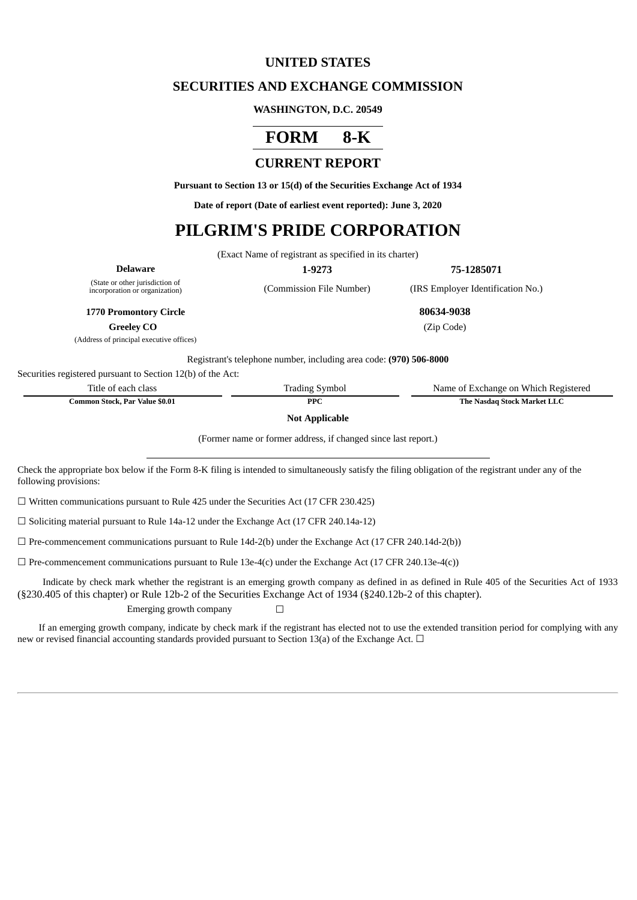## **UNITED STATES**

### **SECURITIES AND EXCHANGE COMMISSION**

#### **WASHINGTON, D.C. 20549**

## **FORM 8-K**

## **CURRENT REPORT**

**Pursuant to Section 13 or 15(d) of the Securities Exchange Act of 1934**

**Date of report (Date of earliest event reported): June 3, 2020**

# **PILGRIM'S PRIDE CORPORATION**

(Exact Name of registrant as specified in its charter)

| <b>Delaware</b>                 |  |
|---------------------------------|--|
| (State or other invigilation of |  |

**Delaware 1-9273 75-1285071**

(state or other jurisdiction or<br>incorporation or organization)

(Commission File Number) (IRS Employer Identification No.)

**1770 Promontory Circle 80634-9038**

**Greeley CO** (Zip Code)

(Address of principal executive offices)

Registrant's telephone number, including area code: **(970) 506-8000**

Securities registered pursuant to Section 12(b) of the Act:

| Title of each class            | <b>Trading Symbol</b> | Name of Exchange on Which Registered |
|--------------------------------|-----------------------|--------------------------------------|
| Common Stock, Par Value \$0.01 | <b>PPC</b>            | The Nasdag Stock Market LLC          |

**Not Applicable**

(Former name or former address, if changed since last report.)

Check the appropriate box below if the Form 8-K filing is intended to simultaneously satisfy the filing obligation of the registrant under any of the following provisions:

 $\Box$  Written communications pursuant to Rule 425 under the Securities Act (17 CFR 230.425)

 $\Box$  Soliciting material pursuant to Rule 14a-12 under the Exchange Act (17 CFR 240.14a-12)

 $\Box$  Pre-commencement communications pursuant to Rule 14d-2(b) under the Exchange Act (17 CFR 240.14d-2(b))

 $\Box$  Pre-commencement communications pursuant to Rule 13e-4(c) under the Exchange Act (17 CFR 240.13e-4(c))

Indicate by check mark whether the registrant is an emerging growth company as defined in as defined in Rule 405 of the Securities Act of 1933 (§230.405 of this chapter) or Rule 12b-2 of the Securities Exchange Act of 1934 (§240.12b-2 of this chapter).

Emerging growth company  $\Box$ 

If an emerging growth company, indicate by check mark if the registrant has elected not to use the extended transition period for complying with any new or revised financial accounting standards provided pursuant to Section 13(a) of the Exchange Act.  $\Box$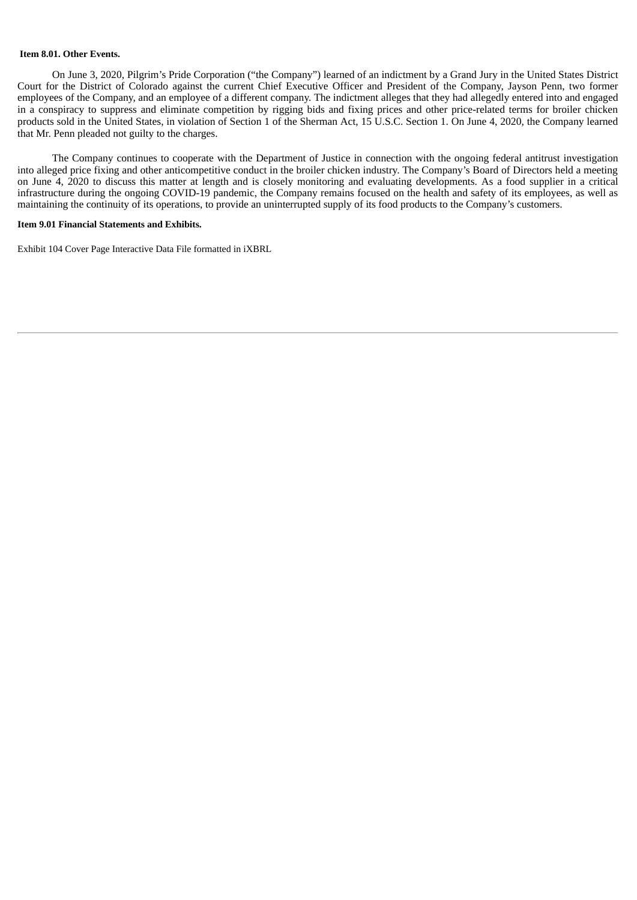#### **Item 8.01. Other Events.**

On June 3, 2020, Pilgrim's Pride Corporation ("the Company") learned of an indictment by a Grand Jury in the United States District Court for the District of Colorado against the current Chief Executive Officer and President of the Company, Jayson Penn, two former employees of the Company, and an employee of a different company. The indictment alleges that they had allegedly entered into and engaged in a conspiracy to suppress and eliminate competition by rigging bids and fixing prices and other price-related terms for broiler chicken products sold in the United States, in violation of Section 1 of the Sherman Act, 15 U.S.C. Section 1. On June 4, 2020, the Company learned that Mr. Penn pleaded not guilty to the charges.

The Company continues to cooperate with the Department of Justice in connection with the ongoing federal antitrust investigation into alleged price fixing and other anticompetitive conduct in the broiler chicken industry. The Company's Board of Directors held a meeting on June 4, 2020 to discuss this matter at length and is closely monitoring and evaluating developments. As a food supplier in a critical infrastructure during the ongoing COVID-19 pandemic, the Company remains focused on the health and safety of its employees, as well as maintaining the continuity of its operations, to provide an uninterrupted supply of its food products to the Company's customers.

#### **Item 9.01 Financial Statements and Exhibits.**

Exhibit 104 Cover Page Interactive Data File formatted in iXBRL